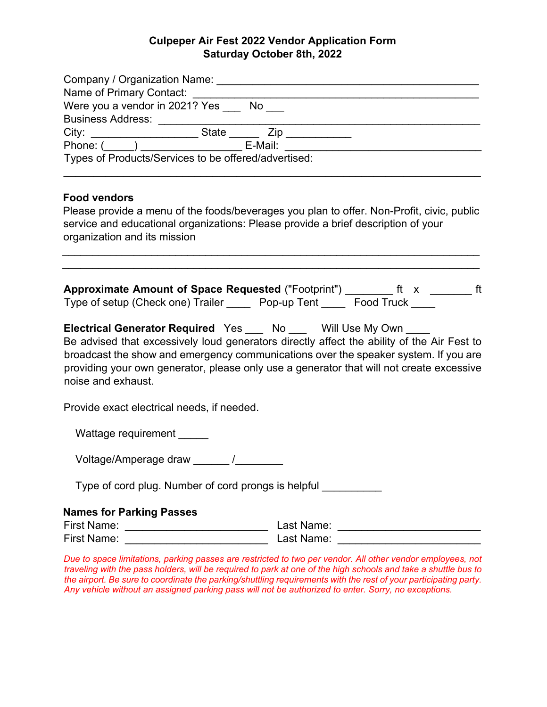## **Culpeper Air Fest 2022 Vendor Application Form Saturday October 8th, 2022**

| Were you a vendor in 2021? Yes ___ No ___<br>Business Address: _____________________<br>Types of Products/Services to be offered/advertised:<br><b>Food vendors</b><br>Please provide a menu of the foods/beverages you plan to offer. Non-Profit, civic, public<br>service and educational organizations: Please provide a brief description of your<br>organization and its mission |                                                                                                                                                                                                                                |                                                                                        |                                                                                                                                                                                                                                                                               |
|---------------------------------------------------------------------------------------------------------------------------------------------------------------------------------------------------------------------------------------------------------------------------------------------------------------------------------------------------------------------------------------|--------------------------------------------------------------------------------------------------------------------------------------------------------------------------------------------------------------------------------|----------------------------------------------------------------------------------------|-------------------------------------------------------------------------------------------------------------------------------------------------------------------------------------------------------------------------------------------------------------------------------|
|                                                                                                                                                                                                                                                                                                                                                                                       |                                                                                                                                                                                                                                |                                                                                        | Approximate Amount of Space Requested ("Footprint") ________ ft x _______ ft<br>Type of setup (Check one) Trailer _____ Pop-up Tent _____ Food Truck ____                                                                                                                     |
|                                                                                                                                                                                                                                                                                                                                                                                       |                                                                                                                                                                                                                                | Electrical Generator Required Yes ___ No ___ Will Use My Own ___<br>noise and exhaust. | Be advised that excessively loud generators directly affect the ability of the Air Fest to<br>broadcast the show and emergency communications over the speaker system. If you are<br>providing your own generator, please only use a generator that will not create excessive |
|                                                                                                                                                                                                                                                                                                                                                                                       |                                                                                                                                                                                                                                | Provide exact electrical needs, if needed.                                             |                                                                                                                                                                                                                                                                               |
|                                                                                                                                                                                                                                                                                                                                                                                       |                                                                                                                                                                                                                                | Wattage requirement _____                                                              |                                                                                                                                                                                                                                                                               |
|                                                                                                                                                                                                                                                                                                                                                                                       |                                                                                                                                                                                                                                | Voltage/Amperage draw ______ /________                                                 |                                                                                                                                                                                                                                                                               |
|                                                                                                                                                                                                                                                                                                                                                                                       |                                                                                                                                                                                                                                | Type of cord plug. Number of cord prongs is helpful __________                         |                                                                                                                                                                                                                                                                               |
|                                                                                                                                                                                                                                                                                                                                                                                       |                                                                                                                                                                                                                                | <b>Names for Parking Passes</b>                                                        |                                                                                                                                                                                                                                                                               |
|                                                                                                                                                                                                                                                                                                                                                                                       |                                                                                                                                                                                                                                |                                                                                        |                                                                                                                                                                                                                                                                               |
| First Name: The Company of the Company of the Company of the Company of the Company of the Company of the Company of the Company of the Company of the Company of the Company of the Company of the Company of the Company of                                                                                                                                                         | Last Name: the control of the control of the control of the control of the control of the control of the control of the control of the control of the control of the control of the control of the control of the control of t |                                                                                        |                                                                                                                                                                                                                                                                               |

*Due to space limitations, parking passes are restricted to two per vendor. All other vendor employees, not traveling with the pass holders, will be required to park at one of the high schools and take a shuttle bus to the airport. Be sure to coordinate the parking/shuttling requirements with the rest of your participating party. Any vehicle without an assigned parking pass will not be authorized to enter. Sorry, no exceptions.*